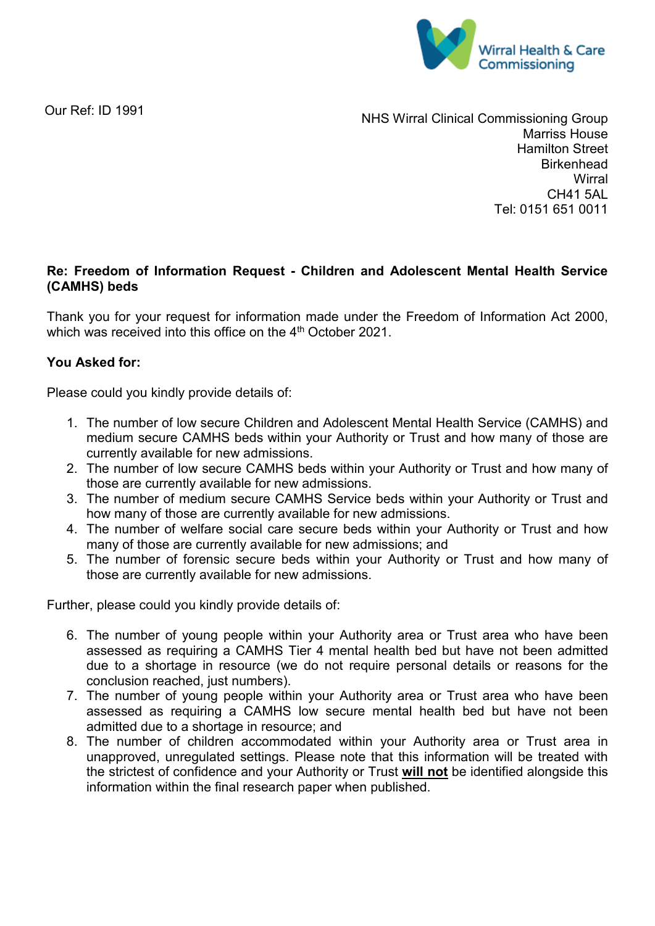

Our Ref: ID 1991

NHS Wirral Clinical Commissioning Group Marriss House Hamilton Street **Birkenhead Wirral** CH41 5AL Tel: 0151 651 0011

## **Re: Freedom of Information Request - Children and Adolescent Mental Health Service (CAMHS) beds**

Thank you for your request for information made under the Freedom of Information Act 2000, which was received into this office on the 4<sup>th</sup> October 2021.

## **You Asked for:**

Please could you kindly provide details of:

- 1. The number of low secure Children and Adolescent Mental Health Service (CAMHS) and medium secure CAMHS beds within your Authority or Trust and how many of those are currently available for new admissions.
- 2. The number of low secure CAMHS beds within your Authority or Trust and how many of those are currently available for new admissions.
- 3. The number of medium secure CAMHS Service beds within your Authority or Trust and how many of those are currently available for new admissions.
- 4. The number of welfare social care secure beds within your Authority or Trust and how many of those are currently available for new admissions; and
- 5. The number of forensic secure beds within your Authority or Trust and how many of those are currently available for new admissions.

Further, please could you kindly provide details of:

- 6. The number of young people within your Authority area or Trust area who have been assessed as requiring a CAMHS Tier 4 mental health bed but have not been admitted due to a shortage in resource (we do not require personal details or reasons for the conclusion reached, just numbers).
- 7. The number of young people within your Authority area or Trust area who have been assessed as requiring a CAMHS low secure mental health bed but have not been admitted due to a shortage in resource; and
- 8. The number of children accommodated within your Authority area or Trust area in unapproved, unregulated settings. Please note that this information will be treated with the strictest of confidence and your Authority or Trust **will not** be identified alongside this information within the final research paper when published.